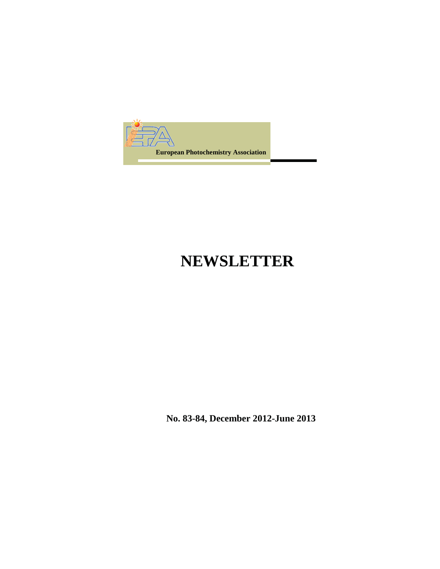

## **NEWSLETTER**

**No. 83-84, December 2012-June 2013**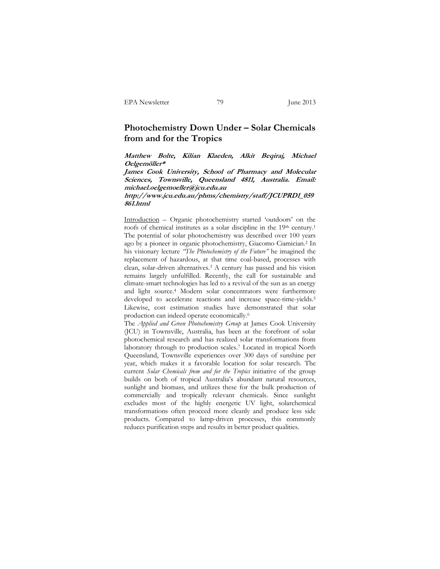## **Photochemistry Down Under – Solar Chemicals from and for the Tropics**

**Matthew Bolte, Kilian Klaeden, Alkit Beqiraj, Michael Oelgemöller\*** 

**James Cook University, School of Pharmacy and Molecular Sciences, Townsville, Queensland 4811, Australia. Email: michael.oelgemoeller@jcu.edu.au** 

**http://www.jcu.edu.au/phms/chemistry/staff/JCUPRD1\_059 861.html** 

Introduction – Organic photochemistry started 'outdoors' on the roofs of chemical institutes as a solar discipline in the 19<sup>th</sup> century.<sup>1</sup> The potential of solar photochemistry was described over 100 years ago by a pioneer in organic photochemistry, Giacomo Ciamician.2 In his visionary lecture *"The Photochemistry of the Future"* he imagined the replacement of hazardous, at that time coal-based, processes with clean, solar-driven alternatives.3 A century has passed and his vision remains largely unfulfilled. Recently, the call for sustainable and climate-smart technologies has led to a revival of the sun as an energy and light source.4 Modern solar concentrators were furthermore developed to accelerate reactions and increase space-time-yields.<sup>5</sup> Likewise, cost estimation studies have demonstrated that solar production can indeed operate economically.6

The *Applied and Green Photochemistry Group* at James Cook University (JCU) in Townsville, Australia, has been at the forefront of solar photochemical research and has realized solar transformations from laboratory through to production scales.7 Located in tropical North Queensland, Townsville experiences over 300 days of sunshine per year, which makes it a favorable location for solar research. The current *Solar Chemicals from and for the Tropics* initiative of the group builds on both of tropical Australia's abundant natural resources, sunlight and biomass, and utilizes these for the bulk production of commercially and tropically relevant chemicals. Since sunlight excludes most of the highly energetic UV light, solarchemical transformations often proceed more cleanly and produce less side products. Compared to lamp-driven processes, this commonly reduces purification steps and results in better product qualities.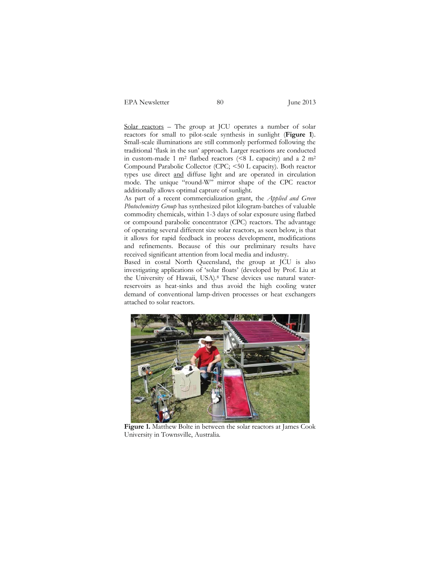EPA Newsletter 80 June 2013

Solar reactors - The group at JCU operates a number of solar reactors for small to pilot-scale synthesis in sunlight (**Figure 1**). Small-scale illuminations are still commonly performed following the traditional 'flask in the sun' approach. Larger reactions are conducted in custom-made 1 m<sup>2</sup> flatbed reactors ( $\leq 8$  L capacity) and a 2 m<sup>2</sup> Compound Parabolic Collector (CPC; <50 L capacity). Both reactor types use direct and diffuse light and are operated in circulation mode. The unique "round-W" mirror shape of the CPC reactor additionally allows optimal capture of sunlight.

As part of a recent commercialization grant, the *Applied and Green Photochemistry Group* has synthesized pilot kilogram-batches of valuable commodity chemicals, within 1-3 days of solar exposure using flatbed or compound parabolic concentrator (CPC) reactors. The advantage of operating several different size solar reactors, as seen below, is that it allows for rapid feedback in process development, modifications and refinements. Because of this our preliminary results have received significant attention from local media and industry.

Based in costal North Queensland, the group at JCU is also investigating applications of 'solar floats' (developed by Prof. Liu at the University of Hawaii, USA).8 These devices use natural waterreservoirs as heat-sinks and thus avoid the high cooling water demand of conventional lamp-driven processes or heat exchangers attached to solar reactors.



**Figure 1.** Matthew Bolte in between the solar reactors at James Cook University in Townsville, Australia.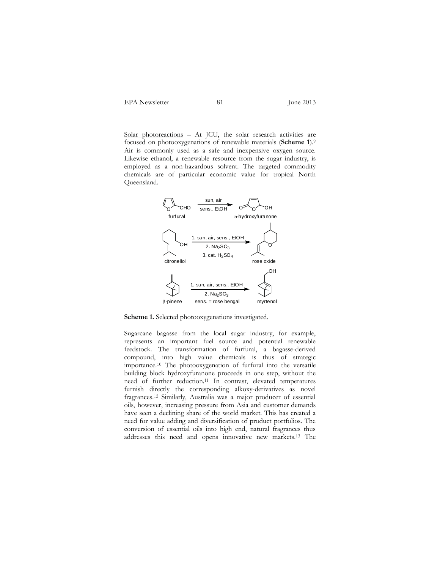Solar photoreactions – At JCU, the solar research activities are focused on photooxygenations of renewable materials (**Scheme 1**).9 Air is commonly used as a safe and inexpensive oxygen source. Likewise ethanol, a renewable resource from the sugar industry, is employed as a non-hazardous solvent. The targeted commodity chemicals are of particular economic value for tropical North Queensland.



**Scheme 1.** Selected photooxygenations investigated.

Sugarcane bagasse from the local sugar industry, for example, represents an important fuel source and potential renewable feedstock. The transformation of furfural, a bagasse-derived compound, into high value chemicals is thus of strategic importance.10 The photooxygenation of furfural into the versatile building block hydroxyfuranone proceeds in one step, without the need of further reduction.11 In contrast, elevated temperatures furnish directly the corresponding alkoxy-derivatives as novel fragrances.12 Similarly, Australia was a major producer of essential oils, however, increasing pressure from Asia and customer demands have seen a declining share of the world market. This has created a need for value adding and diversification of product portfolios. The conversion of essential oils into high end, natural fragrances thus addresses this need and opens innovative new markets.13 The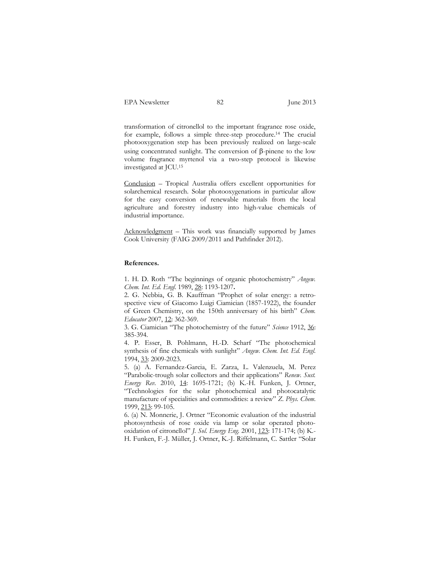transformation of citronellol to the important fragrance rose oxide, for example, follows a simple three-step procedure.14 The crucial photooxygenation step has been previously realized on large-scale using concentrated sunlight. The conversion of  $\beta$ -pinene to the low volume fragrance myrtenol via a two-step protocol is likewise investigated at JCU.15

Conclusion – Tropical Australia offers excellent opportunities for solarchemical research. Solar photooxygenations in particular allow for the easy conversion of renewable materials from the local agriculture and forestry industry into high-value chemicals of industrial importance.

Acknowledgment – This work was financially supported by James Cook University (FAIG 2009/2011 and Pathfinder 2012).

## **References.**

1. H. D. Roth "The beginnings of organic photochemistry" *Angew. Chem. Int. Ed. Engl.* 1989, 28: 1193-1207**.** 

2. G. Nebbia, G. B. Kauffman "Prophet of solar energy: a retrospective view of Giacomo Luigi Ciamician (1857-1922), the founder of Green Chemistry, on the 150th anniversary of his birth" *Chem. Educator* 2007, 12: 362-369.

3. G. Ciamician "The photochemistry of the future" *Science* 1912, 36: 385-394.

4. P. Esser, B. Pohlmann, H.-D. Scharf "The photochemical synthesis of fine chemicals with sunlight" *Angew. Chem. Int. Ed. Engl.* 1994, 33: 2009-2023.

5. (a) A. Fernandez-Garcia, E. Zarza, L. Valenzuela, M. Perez "Parabolic-trough solar collectors and their applications" *Renew. Sust. Energy Rev.* 2010, 14: 1695-1721; (b) K.-H. Funken, J. Ortner, "Technologies for the solar photochemical and photocatalytic manufacture of specialities and commodities: a review" *Z. Phys. Chem.* 1999, 213: 99-105.

6. (a) N. Monnerie, J. Ortner "Economic evaluation of the industrial photosynthesis of rose oxide via lamp or solar operated photooxidation of citronellol" *J. Sol. Energy Eng.* 2001, 123: 171-174; (b) K.- H. Funken, F.-J. Müller, J. Ortner, K.-J. Riffelmann, C. Sattler "Solar